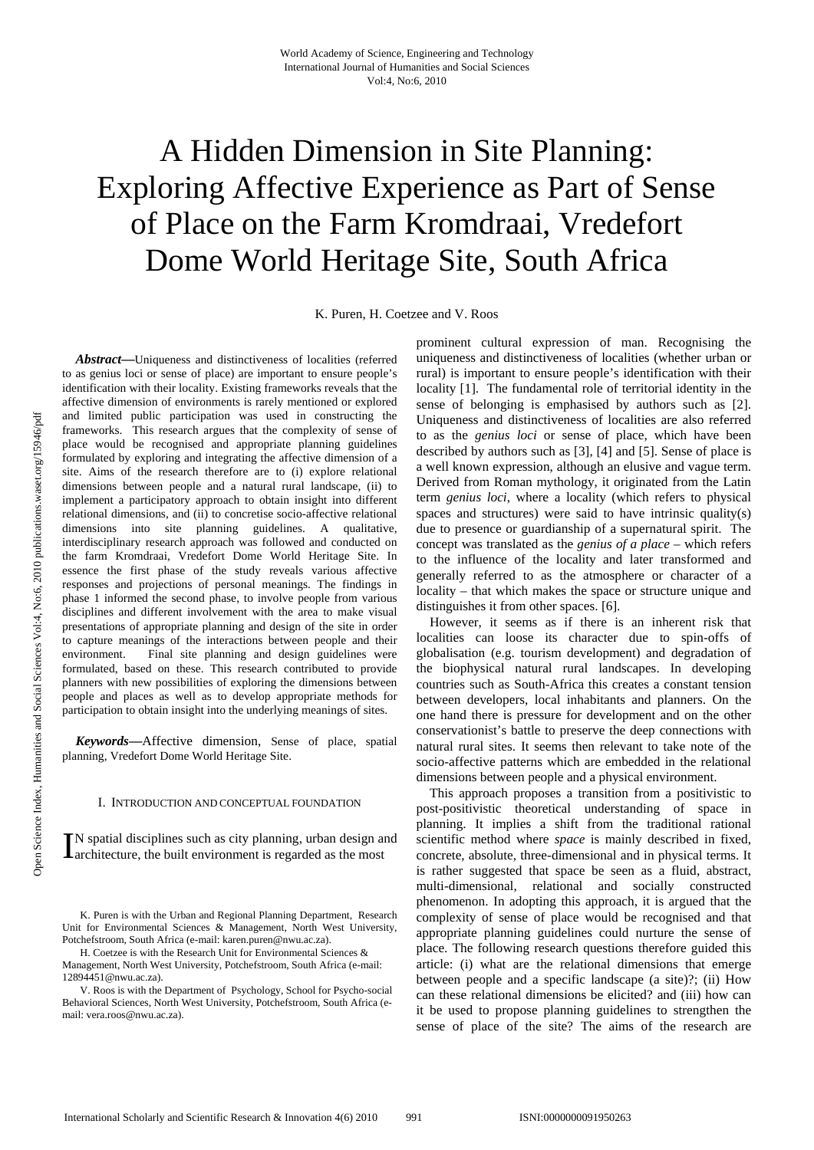# A Hidden Dimension in Site Planning: Exploring Affective Experience as Part of Sense of Place on the Farm Kromdraai, Vredefort Dome World Heritage Site, South Africa

K. Puren, H. Coetzee and V. Roos

*Abstract***—**Uniqueness and distinctiveness of localities (referred to as genius loci or sense of place) are important to ensure people's identification with their locality. Existing frameworks reveals that the affective dimension of environments is rarely mentioned or explored and limited public participation was used in constructing the frameworks. This research argues that the complexity of sense of place would be recognised and appropriate planning guidelines formulated by exploring and integrating the affective dimension of a site. Aims of the research therefore are to (i) explore relational dimensions between people and a natural rural landscape, (ii) to implement a participatory approach to obtain insight into different relational dimensions, and (ii) to concretise socio-affective relational dimensions into site planning guidelines. A qualitative, interdisciplinary research approach was followed and conducted on the farm Kromdraai, Vredefort Dome World Heritage Site. In essence the first phase of the study reveals various affective responses and projections of personal meanings. The findings in phase 1 informed the second phase, to involve people from various disciplines and different involvement with the area to make visual presentations of appropriate planning and design of the site in order to capture meanings of the interactions between people and their environment. Final site planning and design guidelines were formulated, based on these. This research contributed to provide planners with new possibilities of exploring the dimensions between people and places as well as to develop appropriate methods for participation to obtain insight into the underlying meanings of sites.

*Keywords***—**Affective dimension, Sense of place, spatial planning, Vredefort Dome World Heritage Site.

### I. INTRODUCTION AND CONCEPTUAL FOUNDATION

N spatial disciplines such as city planning, urban design and  $\prod$ N spatial disciplines such as city planning, urban design are architecture, the built environment is regarded as the most

K. Puren is with the Urban and Regional Planning Department, Research Unit for Environmental Sciences & Management, North West University, Potchefstroom, South Africa (e-mail: karen.puren@nwu.ac.za).

H. Coetzee is with the Research Unit for Environmental Sciences & Management, North West University, Potchefstroom, South Africa (e-mail: 12894451@nwu.ac.za).

V. Roos is with the Department of Psychology, School for Psycho-social Behavioral Sciences, North West University, Potchefstroom, South Africa (email: vera.roos@nwu.ac.za).

prominent cultural expression of man. Recognising the uniqueness and distinctiveness of localities (whether urban or rural) is important to ensure people's identification with their locality [1]. The fundamental role of territorial identity in the sense of belonging is emphasised by authors such as [2]. Uniqueness and distinctiveness of localities are also referred to as the *genius loci* or sense of place, which have been described by authors such as [3], [4] and [5]. Sense of place is a well known expression, although an elusive and vague term. Derived from Roman mythology, it originated from the Latin term *genius loci*, where a locality (which refers to physical spaces and structures) were said to have intrinsic quality(s) due to presence or guardianship of a supernatural spirit. The concept was translated as the *genius of a place* – which refers to the influence of the locality and later transformed and generally referred to as the atmosphere or character of a locality – that which makes the space or structure unique and distinguishes it from other spaces. [6].

However, it seems as if there is an inherent risk that localities can loose its character due to spin-offs of globalisation (e.g. tourism development) and degradation of the biophysical natural rural landscapes. In developing countries such as South-Africa this creates a constant tension between developers, local inhabitants and planners. On the one hand there is pressure for development and on the other conservationist's battle to preserve the deep connections with natural rural sites. It seems then relevant to take note of the socio-affective patterns which are embedded in the relational dimensions between people and a physical environment.

This approach proposes a transition from a positivistic to post-positivistic theoretical understanding of space in planning. It implies a shift from the traditional rational scientific method where *space* is mainly described in fixed, concrete, absolute, three-dimensional and in physical terms. It is rather suggested that space be seen as a fluid, abstract, multi-dimensional, relational and socially constructed phenomenon. In adopting this approach, it is argued that the complexity of sense of place would be recognised and that appropriate planning guidelines could nurture the sense of place. The following research questions therefore guided this article: (i) what are the relational dimensions that emerge between people and a specific landscape (a site)?; (ii) How can these relational dimensions be elicited? and (iii) how can it be used to propose planning guidelines to strengthen the sense of place of the site? The aims of the research are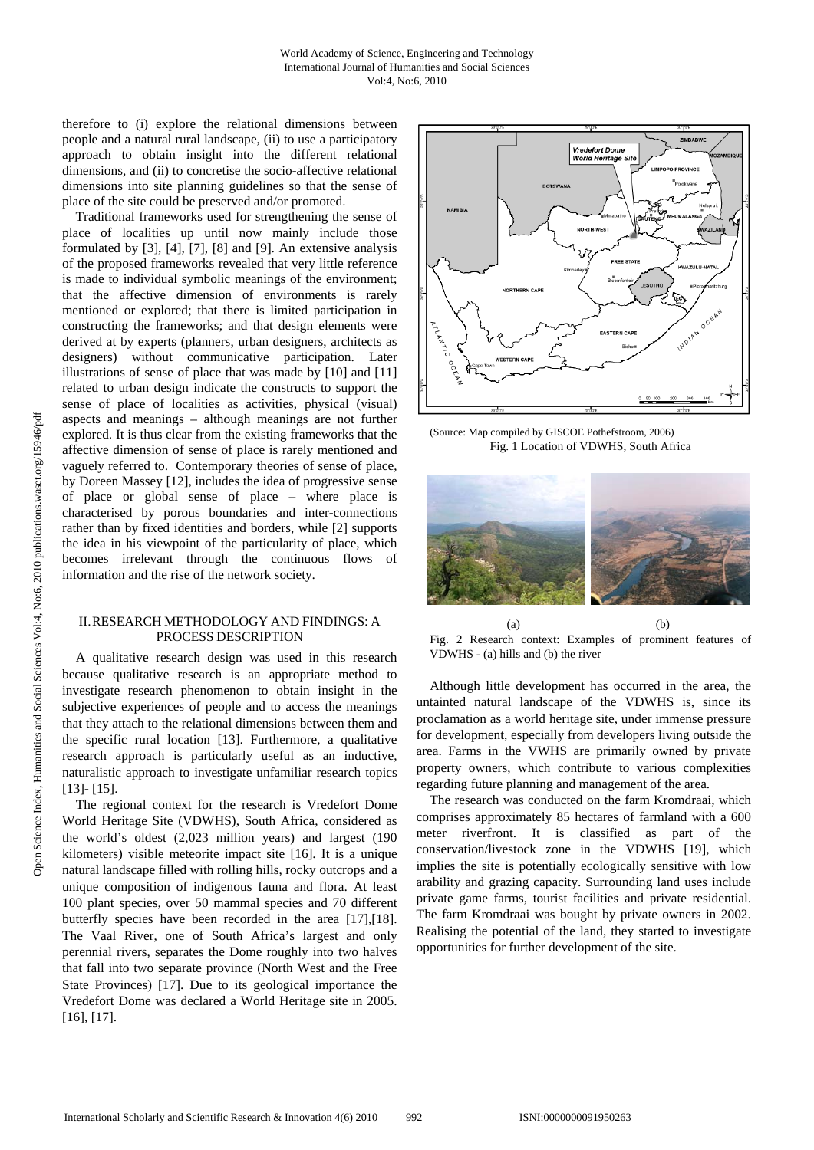therefore to (i) explore the relational dimensions between people and a natural rural landscape, (ii) to use a participatory approach to obtain insight into the different relational dimensions, and (ii) to concretise the socio-affective relational dimensions into site planning guidelines so that the sense of place of the site could be preserved and/or promoted.

 Traditional frameworks used for strengthening the sense of place of localities up until now mainly include those formulated by [3], [4], [7], [8] and [9]. An extensive analysis of the proposed frameworks revealed that very little reference is made to individual symbolic meanings of the environment; that the affective dimension of environments is rarely mentioned or explored; that there is limited participation in constructing the frameworks; and that design elements were derived at by experts (planners, urban designers, architects as designers) without communicative participation. Later illustrations of sense of place that was made by [10] and [11] related to urban design indicate the constructs to support the sense of place of localities as activities, physical (visual) aspects and meanings – although meanings are not further explored. It is thus clear from the existing frameworks that the affective dimension of sense of place is rarely mentioned and vaguely referred to. Contemporary theories of sense of place, by Doreen Massey [12], includes the idea of progressive sense of place or global sense of place – where place is characterised by porous boundaries and inter-connections rather than by fixed identities and borders, while [2] supports the idea in his viewpoint of the particularity of place, which becomes irrelevant through the continuous flows of information and the rise of the network society.

## II.RESEARCH METHODOLOGY AND FINDINGS: A PROCESS DESCRIPTION

A qualitative research design was used in this research because qualitative research is an appropriate method to investigate research phenomenon to obtain insight in the subjective experiences of people and to access the meanings that they attach to the relational dimensions between them and the specific rural location [13]. Furthermore, a qualitative research approach is particularly useful as an inductive, naturalistic approach to investigate unfamiliar research topics [13]- [15].

The regional context for the research is Vredefort Dome World Heritage Site (VDWHS), South Africa, considered as the world's oldest (2,023 million years) and largest (190 kilometers) visible meteorite impact site [16]. It is a unique natural landscape filled with rolling hills, rocky outcrops and a unique composition of indigenous fauna and flora. At least 100 plant species, over 50 mammal species and 70 different butterfly species have been recorded in the area [17],[18]. The Vaal River, one of South Africa's largest and only perennial rivers, separates the Dome roughly into two halves that fall into two separate province (North West and the Free State Provinces) [17]. Due to its geological importance the Vredefort Dome was declared a World Heritage site in 2005. [16], [17].



(Source: Map compiled by GISCOE Pothefstroom, 2006) Fig. 1 Location of VDWHS, South Africa



 $(a)$  (b) Fig. 2 Research context: Examples of prominent features of VDWHS - (a) hills and (b) the river

Although little development has occurred in the area, the untainted natural landscape of the VDWHS is, since its proclamation as a world heritage site, under immense pressure for development, especially from developers living outside the area. Farms in the VWHS are primarily owned by private property owners, which contribute to various complexities regarding future planning and management of the area.

The research was conducted on the farm Kromdraai, which comprises approximately 85 hectares of farmland with a 600 meter riverfront. It is classified as part of the conservation/livestock zone in the VDWHS [19], which implies the site is potentially ecologically sensitive with low arability and grazing capacity. Surrounding land uses include private game farms, tourist facilities and private residential. The farm Kromdraai was bought by private owners in 2002. Realising the potential of the land, they started to investigate opportunities for further development of the site.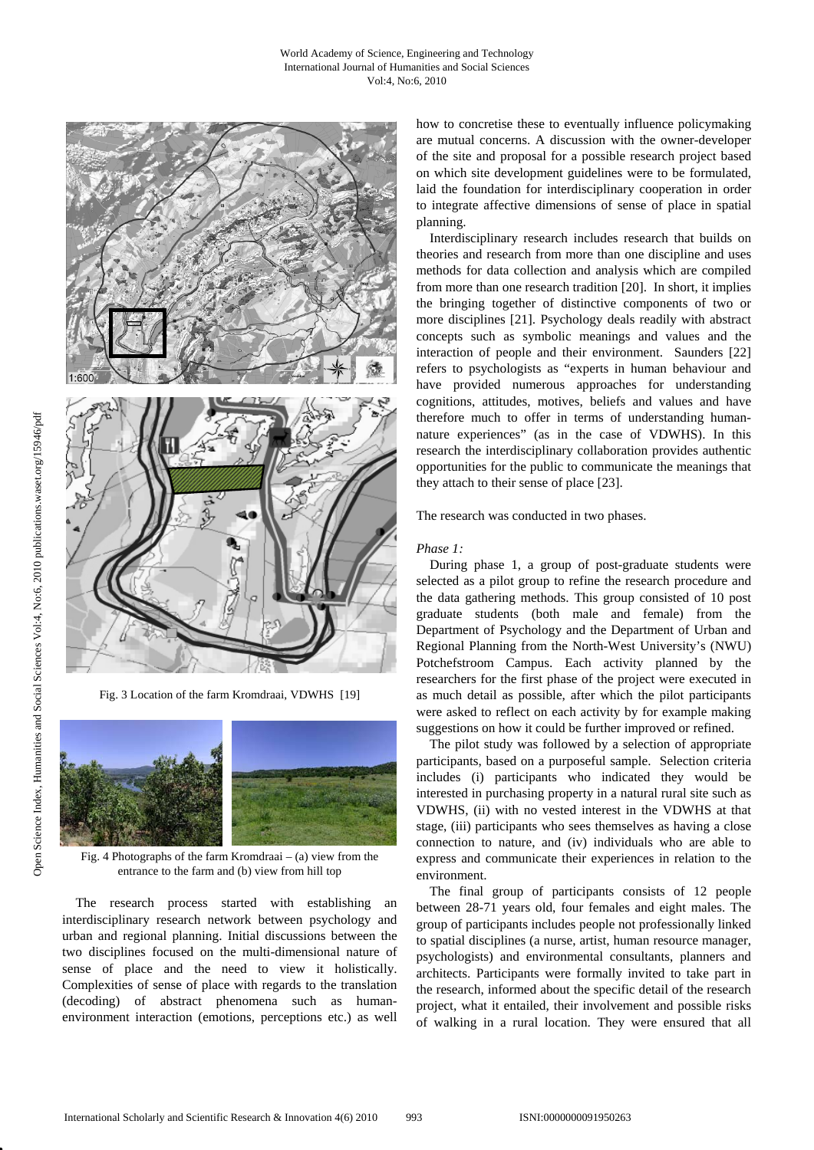

Fig. 3 Location of the farm Kromdraai, VDWHS [19]



Fig. 4 Photographs of the farm Kromdraai – (a) view from the entrance to the farm and (b) view from hill top

The research process started with establishing an interdisciplinary research network between psychology and urban and regional planning. Initial discussions between the two disciplines focused on the multi-dimensional nature of sense of place and the need to view it holistically. Complexities of sense of place with regards to the translation (decoding) of abstract phenomena such as humanenvironment interaction (emotions, perceptions etc.) as well

how to concretise these to eventually influence policymaking are mutual concerns. A discussion with the owner-developer of the site and proposal for a possible research project based on which site development guidelines were to be formulated, laid the foundation for interdisciplinary cooperation in order to integrate affective dimensions of sense of place in spatial planning.

 Interdisciplinary research includes research that builds on theories and research from more than one discipline and uses methods for data collection and analysis which are compiled from more than one research tradition [20]. In short, it implies the bringing together of distinctive components of two or more disciplines [21]. Psychology deals readily with abstract concepts such as symbolic meanings and values and the interaction of people and their environment. Saunders [22] refers to psychologists as "experts in human behaviour and have provided numerous approaches for understanding cognitions, attitudes, motives, beliefs and values and have therefore much to offer in terms of understanding humannature experiences" (as in the case of VDWHS). In this research the interdisciplinary collaboration provides authentic opportunities for the public to communicate the meanings that they attach to their sense of place [23].

The research was conducted in two phases.

#### *Phase 1:*

During phase 1, a group of post-graduate students were selected as a pilot group to refine the research procedure and the data gathering methods. This group consisted of 10 post graduate students (both male and female) from the Department of Psychology and the Department of Urban and Regional Planning from the North-West University's (NWU) Potchefstroom Campus. Each activity planned by the researchers for the first phase of the project were executed in as much detail as possible, after which the pilot participants were asked to reflect on each activity by for example making suggestions on how it could be further improved or refined.

 The pilot study was followed by a selection of appropriate participants, based on a purposeful sample. Selection criteria includes (i) participants who indicated they would be interested in purchasing property in a natural rural site such as VDWHS, (ii) with no vested interest in the VDWHS at that stage, (iii) participants who sees themselves as having a close connection to nature, and (iv) individuals who are able to express and communicate their experiences in relation to the environment.

The final group of participants consists of 12 people between 28-71 years old, four females and eight males. The group of participants includes people not professionally linked to spatial disciplines (a nurse, artist, human resource manager, psychologists) and environmental consultants, planners and architects. Participants were formally invited to take part in the research, informed about the specific detail of the research project, what it entailed, their involvement and possible risks of walking in a rural location. They were ensured that all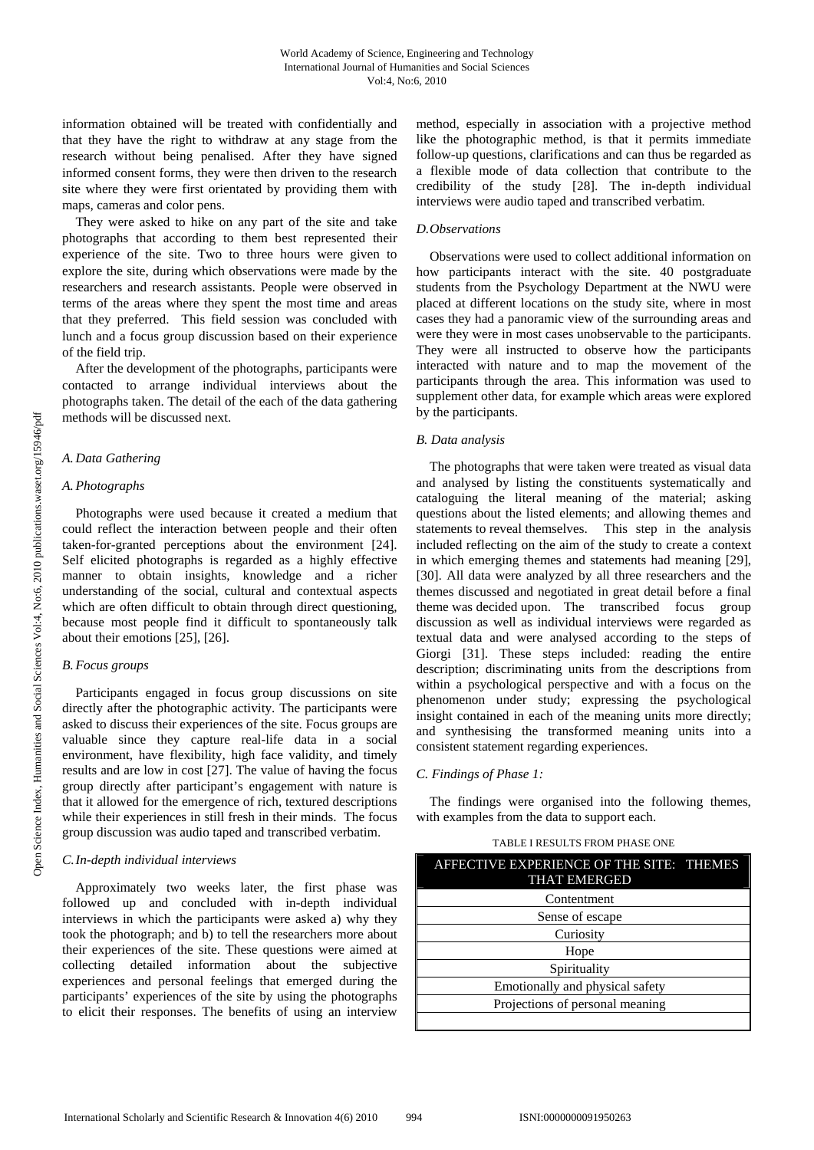information obtained will be treated with confidentially and that they have the right to withdraw at any stage from the research without being penalised. After they have signed informed consent forms, they were then driven to the research site where they were first orientated by providing them with maps, cameras and color pens.

They were asked to hike on any part of the site and take photographs that according to them best represented their experience of the site. Two to three hours were given to explore the site, during which observations were made by the researchers and research assistants. People were observed in terms of the areas where they spent the most time and areas that they preferred. This field session was concluded with lunch and a focus group discussion based on their experience of the field trip.

After the development of the photographs, participants were contacted to arrange individual interviews about the photographs taken. The detail of the each of the data gathering methods will be discussed next.

## *A.Data Gathering*

## *A.Photographs*

 Photographs were used because it created a medium that could reflect the interaction between people and their often taken-for-granted perceptions about the environment [24]. Self elicited photographs is regarded as a highly effective manner to obtain insights, knowledge and a richer understanding of the social, cultural and contextual aspects which are often difficult to obtain through direct questioning, because most people find it difficult to spontaneously talk about their emotions [25], [26].

# *B.Focus groups*

 Participants engaged in focus group discussions on site directly after the photographic activity. The participants were asked to discuss their experiences of the site. Focus groups are valuable since they capture real-life data in a social environment, have flexibility, high face validity, and timely results and are low in cost [27]. The value of having the focus group directly after participant's engagement with nature is that it allowed for the emergence of rich, textured descriptions while their experiences in still fresh in their minds. The focus group discussion was audio taped and transcribed verbatim.

# *C.In-depth individual interviews*

 Approximately two weeks later, the first phase was followed up and concluded with in-depth individual interviews in which the participants were asked a) why they took the photograph; and b) to tell the researchers more about their experiences of the site. These questions were aimed at collecting detailed information about the subjective experiences and personal feelings that emerged during the participants' experiences of the site by using the photographs to elicit their responses. The benefits of using an interview

method, especially in association with a projective method like the photographic method, is that it permits immediate follow-up questions, clarifications and can thus be regarded as a flexible mode of data collection that contribute to the credibility of the study [28]. The in-depth individual interviews were audio taped and transcribed verbatim*.* 

## *D.Observations*

 Observations were used to collect additional information on how participants interact with the site. 40 postgraduate students from the Psychology Department at the NWU were placed at different locations on the study site, where in most cases they had a panoramic view of the surrounding areas and were they were in most cases unobservable to the participants. They were all instructed to observe how the participants interacted with nature and to map the movement of the participants through the area. This information was used to supplement other data, for example which areas were explored by the participants.

## *B. Data analysis*

 The photographs that were taken were treated as visual data and analysed by listing the constituents systematically and cataloguing the literal meaning of the material; asking questions about the listed elements; and allowing themes and statements to reveal themselves. This step in the analysis included reflecting on the aim of the study to create a context in which emerging themes and statements had meaning [29], [30]. All data were analyzed by all three researchers and the themes discussed and negotiated in great detail before a final theme was decided upon. The transcribed focus group discussion as well as individual interviews were regarded as textual data and were analysed according to the steps of Giorgi [31]. These steps included: reading the entire description; discriminating units from the descriptions from within a psychological perspective and with a focus on the phenomenon under study; expressing the psychological insight contained in each of the meaning units more directly; and synthesising the transformed meaning units into a consistent statement regarding experiences.

# *C. Findings of Phase 1:*

 The findings were organised into the following themes, with examples from the data to support each.

| AFFECTIVE EXPERIENCE OF THE SITE: THEMES<br><b>THAT EMERGED</b> |  |  |  |  |
|-----------------------------------------------------------------|--|--|--|--|
| Contentment                                                     |  |  |  |  |
| Sense of escape                                                 |  |  |  |  |
| Curiosity                                                       |  |  |  |  |
| Hope                                                            |  |  |  |  |
| Spirituality                                                    |  |  |  |  |
| Emotionally and physical safety                                 |  |  |  |  |
| Projections of personal meaning                                 |  |  |  |  |
|                                                                 |  |  |  |  |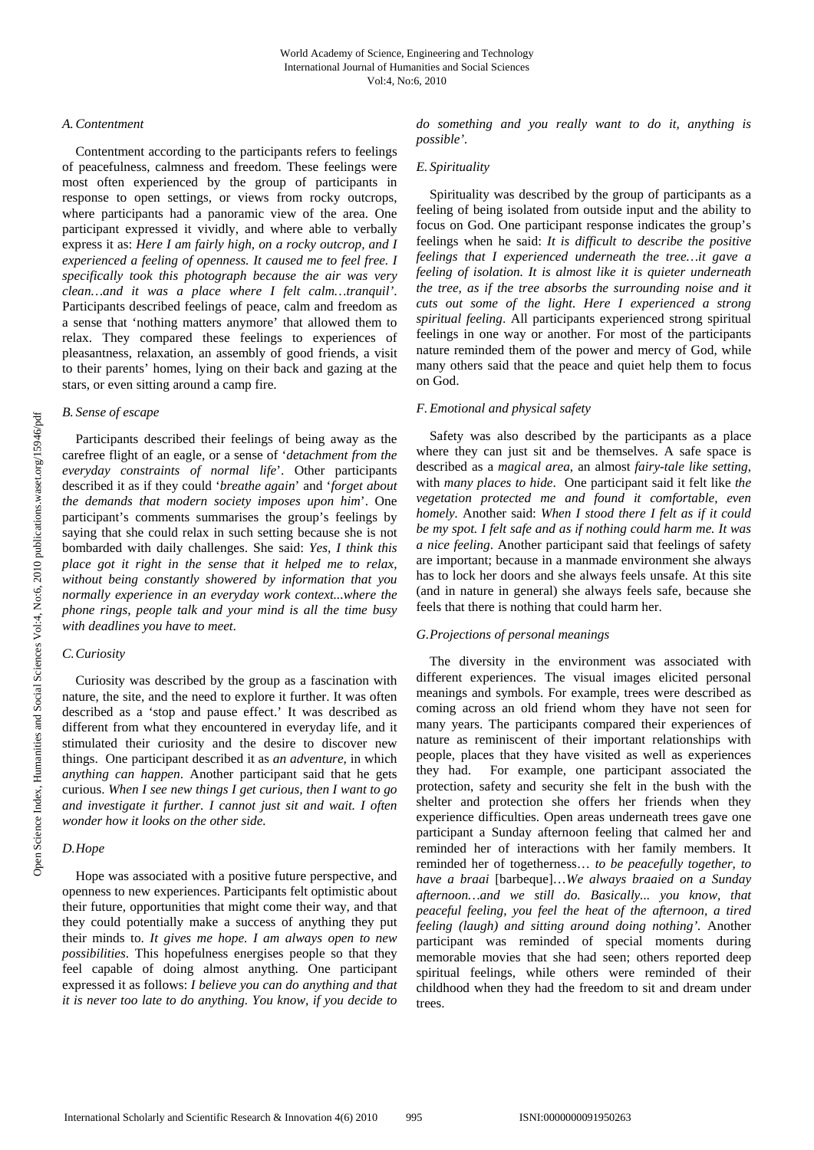## *A.Contentment*

 Contentment according to the participants refers to feelings of peacefulness, calmness and freedom. These feelings were most often experienced by the group of participants in response to open settings, or views from rocky outcrops, where participants had a panoramic view of the area. One participant expressed it vividly, and where able to verbally express it as: *Here I am fairly high, on a rocky outcrop, and I experienced a feeling of openness. It caused me to feel free. I specifically took this photograph because the air was very clean…and it was a place where I felt calm…tranquil'*. Participants described feelings of peace, calm and freedom as a sense that 'nothing matters anymore' that allowed them to relax. They compared these feelings to experiences of pleasantness, relaxation, an assembly of good friends, a visit to their parents' homes, lying on their back and gazing at the stars, or even sitting around a camp fire.

## *B. Sense of escape*

 Participants described their feelings of being away as the carefree flight of an eagle, or a sense of '*detachment from the everyday constraints of normal life*'. Other participants described it as if they could '*breathe again*' and '*forget about the demands that modern society imposes upon him*'. One participant's comments summarises the group's feelings by saying that she could relax in such setting because she is not bombarded with daily challenges. She said: *Yes, I think this place got it right in the sense that it helped me to relax, without being constantly showered by information that you normally experience in an everyday work context...where the phone rings, people talk and your mind is all the time busy with deadlines you have to meet*.

# *C.Curiosity*

 Curiosity was described by the group as a fascination with nature, the site, and the need to explore it further. It was often described as a 'stop and pause effect.' It was described as different from what they encountered in everyday life, and it stimulated their curiosity and the desire to discover new things. One participant described it as *an adventure*, in which *anything can happen*. Another participant said that he gets curious. *When I see new things I get curious, then I want to go and investigate it further. I cannot just sit and wait. I often wonder how it looks on the other side.* 

# *D.Hope*

 Hope was associated with a positive future perspective, and openness to new experiences. Participants felt optimistic about their future, opportunities that might come their way, and that they could potentially make a success of anything they put their minds to. *It gives me hope. I am always open to new possibilities*. This hopefulness energises people so that they feel capable of doing almost anything. One participant expressed it as follows: *I believe you can do anything and that it is never too late to do anything. You know, if you decide to* 

*do something and you really want to do it, anything is possible'.* 

## *E. Spirituality*

 Spirituality was described by the group of participants as a feeling of being isolated from outside input and the ability to focus on God. One participant response indicates the group's feelings when he said: *It is difficult to describe the positive feelings that I experienced underneath the tree…it gave a feeling of isolation. It is almost like it is quieter underneath the tree, as if the tree absorbs the surrounding noise and it cuts out some of the light. Here I experienced a strong spiritual feeling*. All participants experienced strong spiritual feelings in one way or another. For most of the participants nature reminded them of the power and mercy of God, while many others said that the peace and quiet help them to focus on God.

# *F.Emotional and physical safety*

 Safety was also described by the participants as a place where they can just sit and be themselves. A safe space is described as a *magical area*, an almost *fairy-tale like setting*, with *many places to hide*. One participant said it felt like *the vegetation protected me and found it comfortable, even homely.* Another said: *When I stood there I felt as if it could be my spot. I felt safe and as if nothing could harm me. It was a nice feeling*. Another participant said that feelings of safety are important; because in a manmade environment she always has to lock her doors and she always feels unsafe. At this site (and in nature in general) she always feels safe, because she feels that there is nothing that could harm her.

# *G.Projections of personal meanings*

 The diversity in the environment was associated with different experiences. The visual images elicited personal meanings and symbols. For example, trees were described as coming across an old friend whom they have not seen for many years. The participants compared their experiences of nature as reminiscent of their important relationships with people, places that they have visited as well as experiences they had. For example, one participant associated the protection, safety and security she felt in the bush with the shelter and protection she offers her friends when they experience difficulties. Open areas underneath trees gave one participant a Sunday afternoon feeling that calmed her and reminded her of interactions with her family members. It reminded her of togetherness… *to be peacefully together, to have a braai* [barbeque]…*We always braaied on a Sunday afternoon…and we still do. Basically... you know, that peaceful feeling, you feel the heat of the afternoon, a tired feeling (laugh) and sitting around doing nothing'.* Another participant was reminded of special moments during memorable movies that she had seen; others reported deep spiritual feelings, while others were reminded of their childhood when they had the freedom to sit and dream under trees.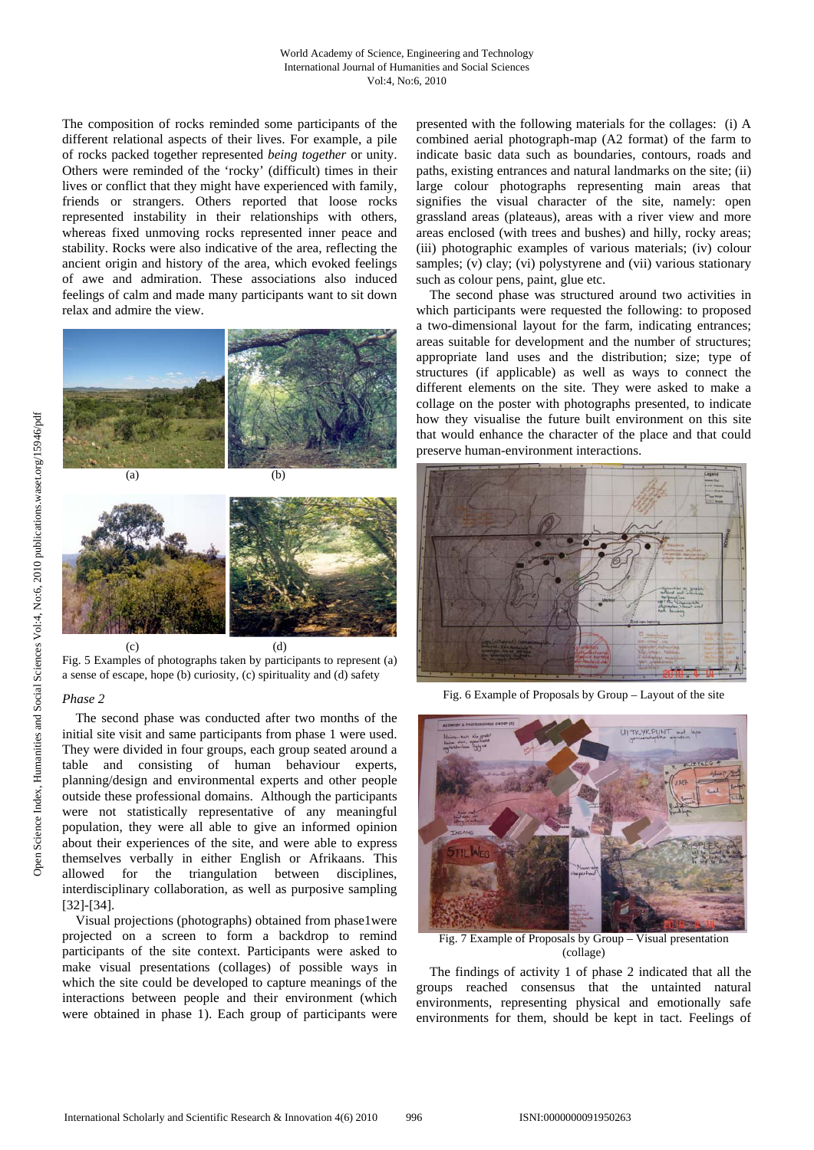The composition of rocks reminded some participants of the different relational aspects of their lives. For example, a pile of rocks packed together represented *being together* or unity. Others were reminded of the 'rocky' (difficult) times in their lives or conflict that they might have experienced with family, friends or strangers. Others reported that loose rocks represented instability in their relationships with others, whereas fixed unmoving rocks represented inner peace and stability. Rocks were also indicative of the area, reflecting the ancient origin and history of the area, which evoked feelings of awe and admiration. These associations also induced feelings of calm and made many participants want to sit down relax and admire the view.



Fig. 5 Examples of photographs taken by participants to represent (a) a sense of escape, hope (b) curiosity, (c) spirituality and (d) safety

## *Phase 2*

The second phase was conducted after two months of the initial site visit and same participants from phase 1 were used. They were divided in four groups, each group seated around a table and consisting of human behaviour experts, planning/design and environmental experts and other people outside these professional domains. Although the participants were not statistically representative of any meaningful population, they were all able to give an informed opinion about their experiences of the site, and were able to express themselves verbally in either English or Afrikaans. This allowed for the triangulation between disciplines, interdisciplinary collaboration, as well as purposive sampling [32]-[34].

 Visual projections (photographs) obtained from phase1were projected on a screen to form a backdrop to remind participants of the site context. Participants were asked to make visual presentations (collages) of possible ways in which the site could be developed to capture meanings of the interactions between people and their environment (which were obtained in phase 1). Each group of participants were

presented with the following materials for the collages: (i) A combined aerial photograph-map (A2 format) of the farm to indicate basic data such as boundaries, contours, roads and paths, existing entrances and natural landmarks on the site; (ii) large colour photographs representing main areas that signifies the visual character of the site, namely: open grassland areas (plateaus), areas with a river view and more areas enclosed (with trees and bushes) and hilly, rocky areas; (iii) photographic examples of various materials; (iv) colour samples; (v) clay; (vi) polystyrene and (vii) various stationary such as colour pens, paint, glue etc.

 The second phase was structured around two activities in which participants were requested the following: to proposed a two-dimensional layout for the farm, indicating entrances; areas suitable for development and the number of structures; appropriate land uses and the distribution; size; type of structures (if applicable) as well as ways to connect the different elements on the site. They were asked to make a collage on the poster with photographs presented, to indicate how they visualise the future built environment on this site that would enhance the character of the place and that could preserve human-environment interactions.



Fig. 6 Example of Proposals by Group – Layout of the site



Fig. 7 Example of Proposals by Group – Visual presentation (collage)

The findings of activity 1 of phase 2 indicated that all the groups reached consensus that the untainted natural environments, representing physical and emotionally safe environments for them, should be kept in tact. Feelings of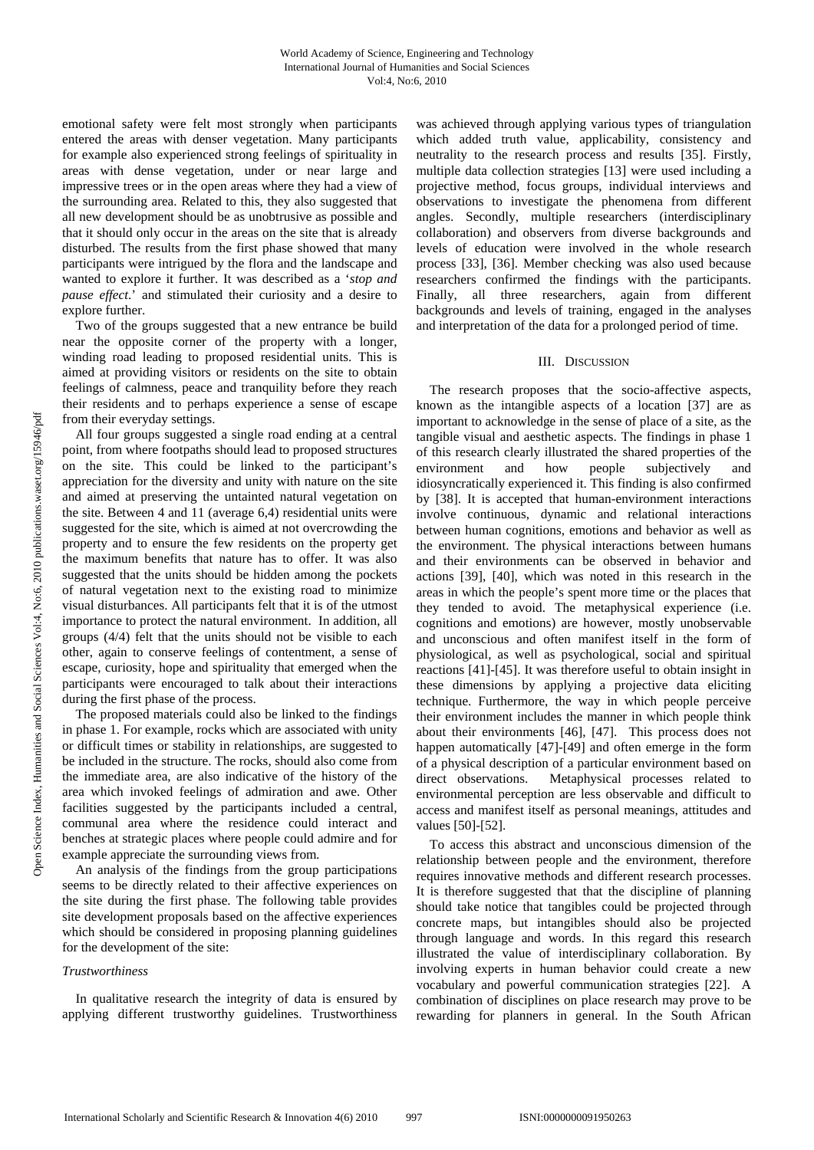emotional safety were felt most strongly when participants entered the areas with denser vegetation. Many participants for example also experienced strong feelings of spirituality in areas with dense vegetation, under or near large and impressive trees or in the open areas where they had a view of the surrounding area. Related to this, they also suggested that all new development should be as unobtrusive as possible and that it should only occur in the areas on the site that is already disturbed. The results from the first phase showed that many participants were intrigued by the flora and the landscape and wanted to explore it further. It was described as a '*stop and pause effect*.' and stimulated their curiosity and a desire to explore further.

 Two of the groups suggested that a new entrance be build near the opposite corner of the property with a longer, winding road leading to proposed residential units. This is aimed at providing visitors or residents on the site to obtain feelings of calmness, peace and tranquility before they reach their residents and to perhaps experience a sense of escape from their everyday settings.

 All four groups suggested a single road ending at a central point, from where footpaths should lead to proposed structures on the site. This could be linked to the participant's appreciation for the diversity and unity with nature on the site and aimed at preserving the untainted natural vegetation on the site. Between 4 and 11 (average 6,4) residential units were suggested for the site, which is aimed at not overcrowding the property and to ensure the few residents on the property get the maximum benefits that nature has to offer. It was also suggested that the units should be hidden among the pockets of natural vegetation next to the existing road to minimize visual disturbances. All participants felt that it is of the utmost importance to protect the natural environment. In addition, all groups (4/4) felt that the units should not be visible to each other, again to conserve feelings of contentment, a sense of escape, curiosity, hope and spirituality that emerged when the participants were encouraged to talk about their interactions during the first phase of the process.

 The proposed materials could also be linked to the findings in phase 1. For example, rocks which are associated with unity or difficult times or stability in relationships, are suggested to be included in the structure. The rocks, should also come from the immediate area, are also indicative of the history of the area which invoked feelings of admiration and awe. Other facilities suggested by the participants included a central, communal area where the residence could interact and benches at strategic places where people could admire and for example appreciate the surrounding views from*.* 

An analysis of the findings from the group participations seems to be directly related to their affective experiences on the site during the first phase. The following table provides site development proposals based on the affective experiences which should be considered in proposing planning guidelines for the development of the site:

## *Trustworthiness*

 In qualitative research the integrity of data is ensured by applying different trustworthy guidelines. Trustworthiness was achieved through applying various types of triangulation which added truth value, applicability, consistency and neutrality to the research process and results [35]. Firstly, multiple data collection strategies [13] were used including a projective method, focus groups, individual interviews and observations to investigate the phenomena from different angles. Secondly, multiple researchers (interdisciplinary collaboration) and observers from diverse backgrounds and levels of education were involved in the whole research process [33], [36]. Member checking was also used because researchers confirmed the findings with the participants. Finally, all three researchers, again from different backgrounds and levels of training, engaged in the analyses and interpretation of the data for a prolonged period of time.

#### III. DISCUSSION

 The research proposes that the socio-affective aspects, known as the intangible aspects of a location [37] are as important to acknowledge in the sense of place of a site, as the tangible visual and aesthetic aspects. The findings in phase 1 of this research clearly illustrated the shared properties of the environment and how people subjectively and idiosyncratically experienced it. This finding is also confirmed by [38]. It is accepted that human-environment interactions involve continuous, dynamic and relational interactions between human cognitions, emotions and behavior as well as the environment. The physical interactions between humans and their environments can be observed in behavior and actions [39], [40], which was noted in this research in the areas in which the people's spent more time or the places that they tended to avoid. The metaphysical experience (i.e. cognitions and emotions) are however, mostly unobservable and unconscious and often manifest itself in the form of physiological, as well as psychological, social and spiritual reactions [41]-[45]. It was therefore useful to obtain insight in these dimensions by applying a projective data eliciting technique. Furthermore, the way in which people perceive their environment includes the manner in which people think about their environments [46], [47]. This process does not happen automatically [47]-[49] and often emerge in the form of a physical description of a particular environment based on direct observations. Metaphysical processes related to environmental perception are less observable and difficult to access and manifest itself as personal meanings, attitudes and values [50]-[52].

 To access this abstract and unconscious dimension of the relationship between people and the environment, therefore requires innovative methods and different research processes. It is therefore suggested that that the discipline of planning should take notice that tangibles could be projected through concrete maps, but intangibles should also be projected through language and words. In this regard this research illustrated the value of interdisciplinary collaboration. By involving experts in human behavior could create a new vocabulary and powerful communication strategies [22]. A combination of disciplines on place research may prove to be rewarding for planners in general. In the South African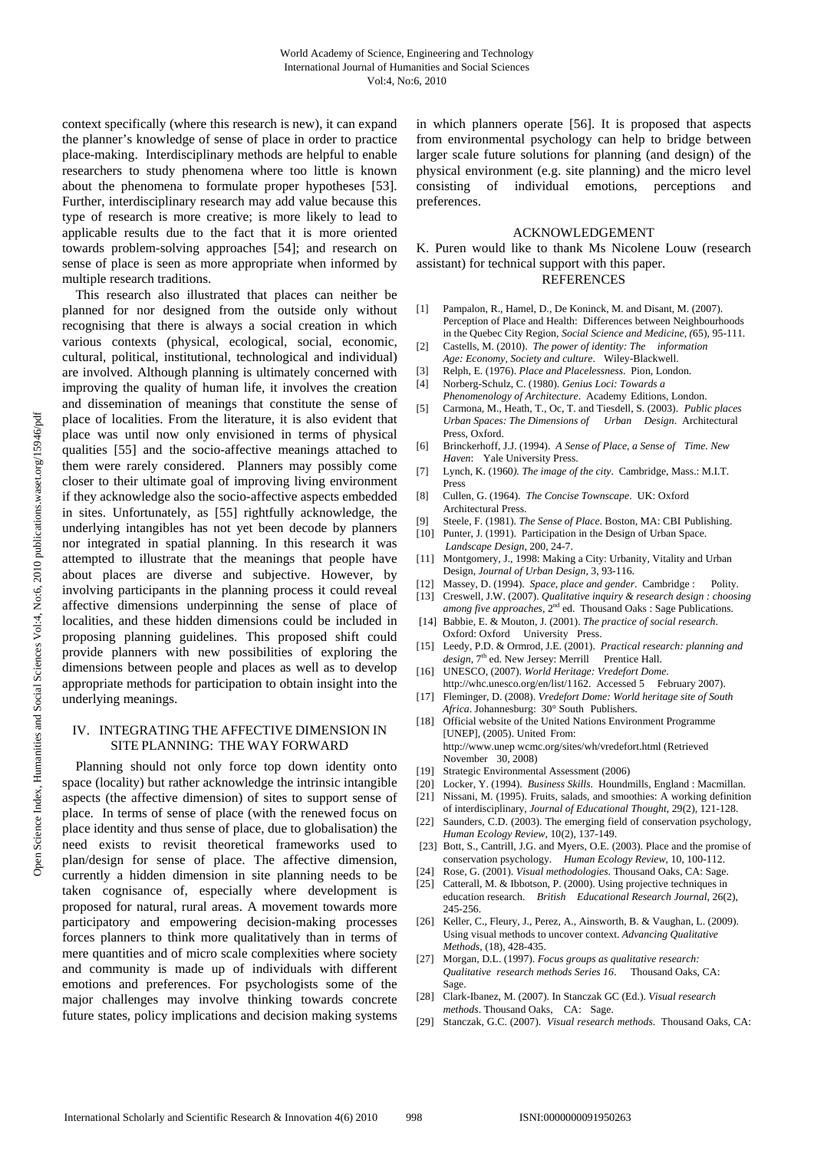context specifically (where this research is new), it can expand the planner's knowledge of sense of place in order to practice place-making. Interdisciplinary methods are helpful to enable researchers to study phenomena where too little is known about the phenomena to formulate proper hypotheses [53]. Further, interdisciplinary research may add value because this type of research is more creative; is more likely to lead to applicable results due to the fact that it is more oriented towards problem-solving approaches [54]; and research on sense of place is seen as more appropriate when informed by multiple research traditions.

 This research also illustrated that places can neither be planned for nor designed from the outside only without recognising that there is always a social creation in which various contexts (physical, ecological, social, economic, cultural, political, institutional, technological and individual) are involved. Although planning is ultimately concerned with improving the quality of human life, it involves the creation and dissemination of meanings that constitute the sense of place of localities. From the literature, it is also evident that place was until now only envisioned in terms of physical qualities [55] and the socio-affective meanings attached to them were rarely considered. Planners may possibly come closer to their ultimate goal of improving living environment if they acknowledge also the socio-affective aspects embedded in sites. Unfortunately, as [55] rightfully acknowledge, the underlying intangibles has not yet been decode by planners nor integrated in spatial planning. In this research it was attempted to illustrate that the meanings that people have about places are diverse and subjective. However, by involving participants in the planning process it could reveal affective dimensions underpinning the sense of place of localities, and these hidden dimensions could be included in proposing planning guidelines. This proposed shift could provide planners with new possibilities of exploring the dimensions between people and places as well as to develop appropriate methods for participation to obtain insight into the underlying meanings.

## IV. INTEGRATING THE AFFECTIVE DIMENSION IN SITE PLANNING: THE WAY FORWARD

 Planning should not only force top down identity onto space (locality) but rather acknowledge the intrinsic intangible aspects (the affective dimension) of sites to support sense of place. In terms of sense of place (with the renewed focus on place identity and thus sense of place, due to globalisation) the need exists to revisit theoretical frameworks used to plan/design for sense of place. The affective dimension, currently a hidden dimension in site planning needs to be taken cognisance of, especially where development is proposed for natural, rural areas. A movement towards more participatory and empowering decision-making processes forces planners to think more qualitatively than in terms of mere quantities and of micro scale complexities where society and community is made up of individuals with different emotions and preferences. For psychologists some of the major challenges may involve thinking towards concrete future states, policy implications and decision making systems

in which planners operate [56]. It is proposed that aspects from environmental psychology can help to bridge between larger scale future solutions for planning (and design) of the physical environment (e.g. site planning) and the micro level consisting of individual emotions, perceptions and preferences.

#### ACKNOWLEDGEMENT

K. Puren would like to thank Ms Nicolene Louw (research assistant) for technical support with this paper. REFERENCES

- [1] Pampalon, R., Hamel, D., De Koninck, M. and Disant, M. (2007). Perception of Place and Health: Differences between Neighbourhoods in the Quebec City Region, *Social Science and Medicine, (*65), 95-111.
- [2] Castells, M. (2010). *The power of identity: The information*
- *Age: Economy, Society and culture*. Wiley-Blackwell. [3] Relph, E. (1976). *Place and Placelessness*. Pion, London.
- [4] Norberg-Schulz, C. (1980). *Genius Loci: Towards a Phenomenology of Architecture*. Academy Editions, London.
- [5] Carmona, M., Heath, T., Oc, T. and Tiesdell, S. (2003). *Public places Urban Spaces: The Dimensions of Urban Design*. Architectural Press, Oxford.
- [6] Brinckerhoff, J.J. (1994). *A Sense of Place, a Sense of Time. New Haven*: Yale University Press.
- [7] Lynch, K. (1960*). The image of the city*. Cambridge, Mass.: M.I.T. Press
- [8] Cullen, G. (1964). *The Concise Townscape*. UK: Oxford Architectural Press.
- [9] Steele, F. (1981). *The Sense of Place*. Boston, MA: CBI Publishing.
- [10] Punter, J. (1991). Participation in the Design of Urban Space. *Landscape Design*, 200, 24-7.
- [11] Montgomery, J., 1998: Making a City: Urbanity, Vitality and Urban Design, *Journal of Urban Design,* 3, 93-116.
- [12] Massey, D. (1994). *Space, place and gender*. Cambridge : Polity.
- [13] Creswell, J.W. (2007). *Qualitative inquiry & research design : choosing among five approaches*, 2nd ed. Thousand Oaks : Sage Publications.
- [14] Babbie, E. & Mouton, J. (2001). *The practice of social research*. Oxford: Oxford University Press.
- [15] Leedy, P.D. & Ormrod, J.E. (2001). *Practical research: planning and*  design, 7<sup>th</sup> ed. New Jersey: Merrill Prentice Hall.
- [16] UNESCO, (2007). *World Heritage: Vredefort Dome*. http://whc.unesco.org/en/list/1162. Accessed 5 February 2007).
- [17] Fleminger, D. (2008). *Vredefort Dome: World heritage site of South Africa*. Johannesburg: 30° South Publishers.
- [18] Official website of the United Nations Environment Programme [UNEP], (2005). United From: http://www.unep wcmc.org/sites/wh/vredefort.html (Retrieved November 30, 2008)
- [19] Strategic Environmental Assessment (2006)
- [20] Locker, Y. (1994). *Business Skills*. Houndmills, England : Macmillan. [21] Nissani, M. (1995). Fruits, salads, and smoothies: A working definition
- of interdisciplinary, *Journal of Educational Thought*, 29(2), 121-128. [22] Saunders, C.D. (2003). The emerging field of conservation psychology,
- *Human Ecology Review*, 10(2), 137-149. [23] Bott, S., Cantrill, J.G. and Myers, O.E. (2003). Place and the promise of
- conservation psychology. *Human Ecology Review*, 10, 100-112.
- [24] Rose, G. (2001). *Visual methodologies*. Thousand Oaks, CA: Sage.
- [25] Catterall, M. & Ibbotson, P. (2000). Using projective techniques in education research. *British Educational Research Journal*, 26(2), 245-256.
- [26] Keller, C., Fleury, J., Perez, A., Ainsworth, B. & Vaughan, L. (2009). Using visual methods to uncover context. *Advancing Qualitative Methods*, (18), 428-435.
- [27] Morgan, D.L. (1997). *Focus groups as qualitative research: Qualitative research methods Series 16*. Thousand Oaks, CA: Sage.
- [28] Clark-Ibanez, M. (2007). In Stanczak GC (Ed.). *Visual research methods*. Thousand Oaks, CA: Sage.
- [29] Stanczak, G.C. (2007). *Visual research methods*. Thousand Oaks, CA: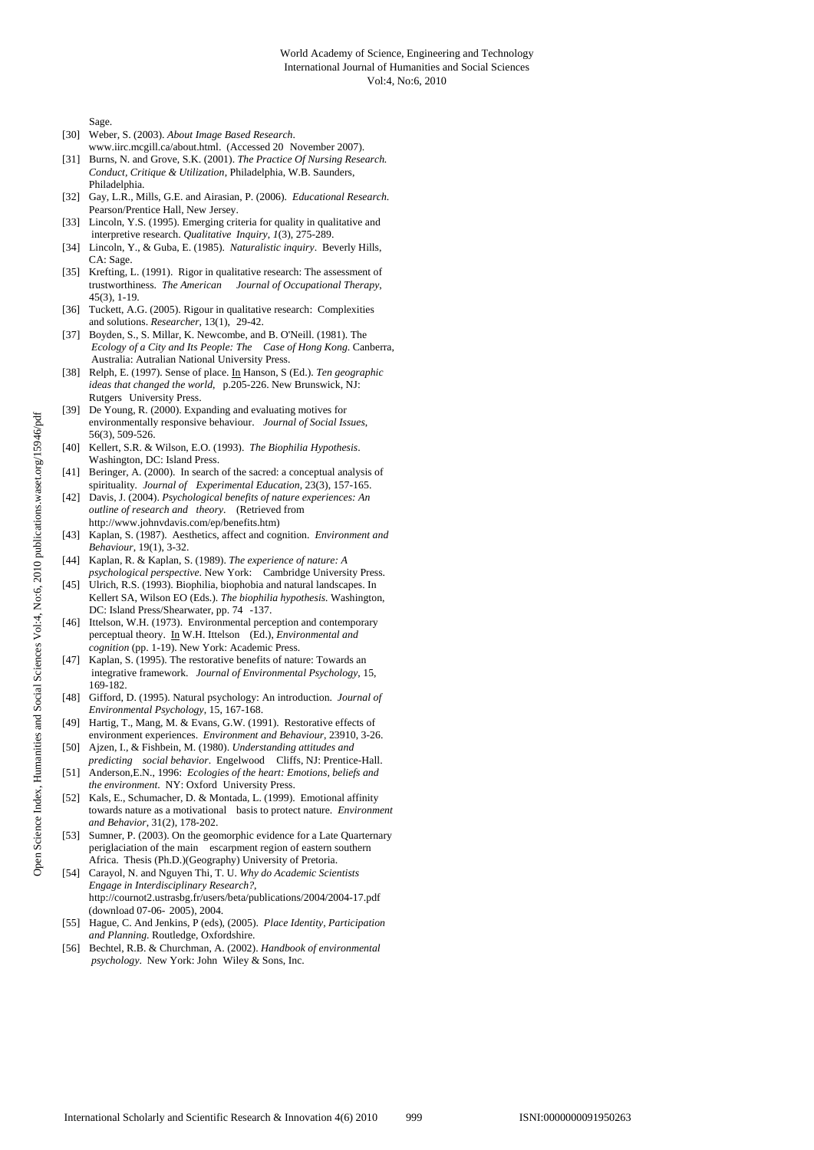#### World Academy of Science, Engineering and Technology International Journal of Humanities and Social Sciences Vol:4, No:6, 2010

Sage.

- [30] Weber, S. (2003). *About Image Based Research*. www.iirc.mcgill.ca/about.html. (Accessed 20 November 2007).
- [31] Burns, N. and Grove, S.K. (2001). *The Practice Of Nursing Research. Conduct, Critique & Utilization*, Philadelphia, W.B. Saunders, Philadelphia.
- [32] Gay, L.R., Mills, G.E. and Airasian, P. (2006). *Educational Research*. Pearson/Prentice Hall, New Jersey.
- [33] Lincoln, Y.S. (1995). Emerging criteria for quality in qualitative and interpretive research. *Qualitative Inquiry*, *1*(3), 275-289.
- [34] Lincoln, Y., & Guba, E. (1985). *Naturalistic inquiry*. Beverly Hills, CA: Sage.
- [35] Krefting, L. (1991). Rigor in qualitative research: The assessment of trustworthiness. *The American Journal of Occupational Therapy*, 45(3), 1-19.
- [36] Tuckett, A.G. (2005). Rigour in qualitative research: Complexities and solutions. *Researcher,* 13(1), 29-42.
- [37] Boyden, S., S. Millar, K. Newcombe, and B. O'Neill. (1981). The *Ecology of a City and Its People: The Case of Hong Kong*. Canberra, Australia: Autralian National University Press.
- [38] Relph, E. (1997). Sense of place. In Hanson, S (Ed.). *Ten geographic ideas that changed the world*, p.205-226. New Brunswick, NJ: Rutgers University Press.
- [39] De Young, R. (2000). Expanding and evaluating motives for environmentally responsive behaviour. *Journal of Social Issues*, 56(3), 509-526.
- [40] Kellert, S.R. & Wilson, E.O. (1993). *The Biophilia Hypothesis*. Washington, DC: Island Press.
- [41] Beringer, A. (2000). In search of the sacred: a conceptual analysis of spirituality*. Journal of Experimental Education*, 23(3), 157-165.
- [42] Davis, J. (2004). *Psychological benefits of nature experiences: An outline of research and theory*. (Retrieved from http://www.johnvdavis.com/ep/benefits.htm)
- [43] Kaplan, S. (1987). Aesthetics, affect and cognition. *Environment and Behaviour*, 19(1), 3-32.
- [44] Kaplan, R. & Kaplan, S. (1989). *The experience of nature: A psychological perspective*. New York: Cambridge University Press.
- [45] Ulrich, R.S. (1993). Biophilia, biophobia and natural landscapes. In Kellert SA, Wilson EO (Eds.). *The biophilia hypothesis.* Washington, DC: Island Press/Shearwater, pp. 74 -137.
- [46] Ittelson, W.H. (1973). Environmental perception and contemporary perceptual theory. In W.H. Ittelson (Ed.), *Environmental and cognition* (pp. 1-19). New York: Academic Press.
- [47] Kaplan, S. (1995). The restorative benefits of nature: Towards an integrative framework. *Journal of Environmental Psychology*, 15, 169-182.
- [48] Gifford, D. (1995). Natural psychology: An introduction. *Journal of Environmental Psychology*, 15, 167-168.
- [49] Hartig, T., Mang, M. & Evans, G.W. (1991). Restorative effects of environment experiences. *Environment and Behaviour*, 23910, 3-26.
- [50] Ajzen, I., & Fishbein, M. (1980). *Understanding attitudes and predicting social behavior*. Engelwood Cliffs, NJ: Prentice-Hall.
- [51] Anderson,E.N., 1996: *Ecologies of the heart: Emotions, beliefs and the environment*. NY: Oxford University Press.
- [52] Kals, E., Schumacher, D. & Montada, L. (1999). Emotional affinity towards nature as a motivational basis to protect nature. *Environment and Behavior*, 31(2), 178-202.
- [53] Sumner, P. (2003). On the geomorphic evidence for a Late Quarternary periglaciation of the main escarpment region of eastern southern Africa. Thesis (Ph.D.)(Geography) University of Pretoria.
- [54] Carayol, N. and Nguyen Thi, T. U. *Why do Academic Scientists Engage in Interdisciplinary Research?*, http://cournot2.ustrasbg.fr/users/beta/publications/2004/2004-17.pdf (download 07-06- 2005), 2004.
- [55] Hague, C. And Jenkins, P (eds), (2005). *Place Identity, Participation and Planning*. Routledge, Oxfordshire.
- [56] Bechtel, R.B. & Churchman, A. (2002). *Handbook of environmental psychology*. New York: John Wiley & Sons, Inc.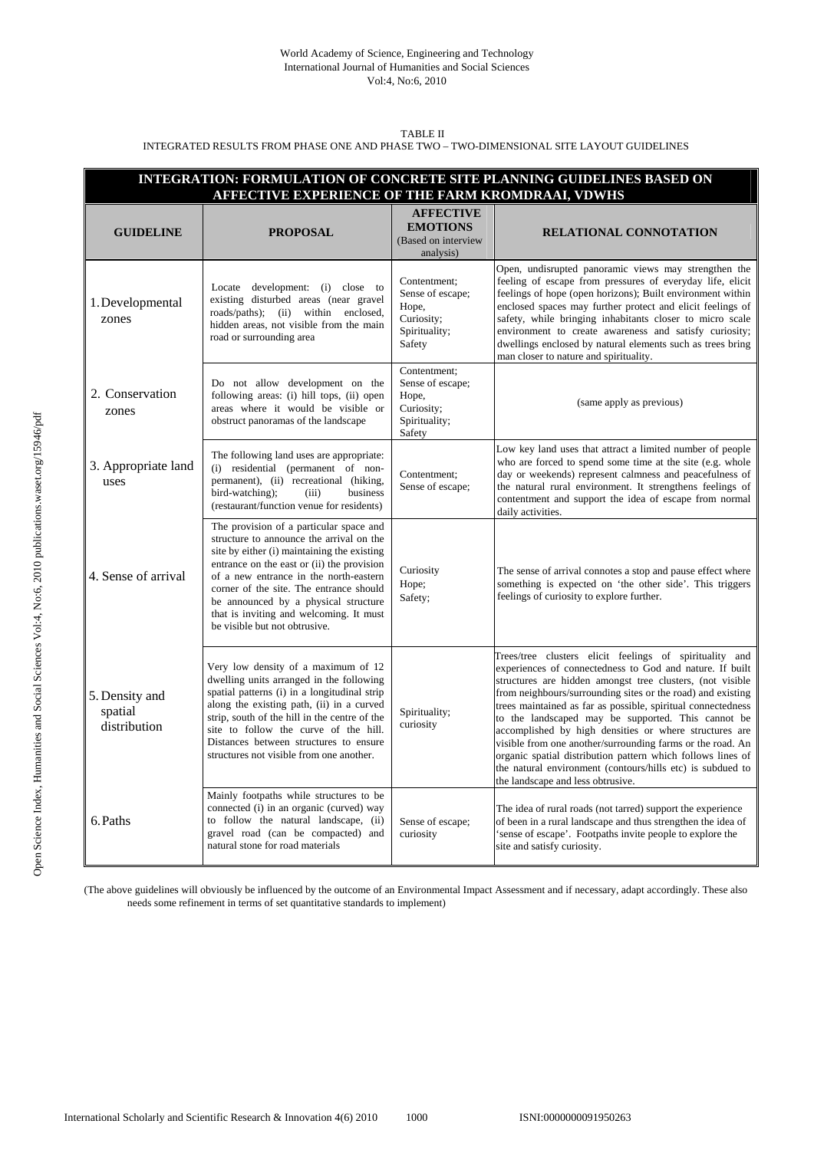#### World Academy of Science, Engineering and Technology International Journal of Humanities and Social Sciences Vol:4, No:6, 2010

#### TABLE II INTEGRATED RESULTS FROM PHASE ONE AND PHASE TWO – TWO-DIMENSIONAL SITE LAYOUT GUIDELINES

| INTEGRATION: FORMULATION OF CONCRETE SITE PLANNING GUIDELINES BASED ON<br>AFFECTIVE EXPERIENCE OF THE FARM KROMDRAAI, VDWHS |                                                                                                                                                                                                                                                                                                                                                                                           |                                                                                    |                                                                                                                                                                                                                                                                                                                                                                                                                                                                                                                                                                                                                                                                 |  |  |  |  |
|-----------------------------------------------------------------------------------------------------------------------------|-------------------------------------------------------------------------------------------------------------------------------------------------------------------------------------------------------------------------------------------------------------------------------------------------------------------------------------------------------------------------------------------|------------------------------------------------------------------------------------|-----------------------------------------------------------------------------------------------------------------------------------------------------------------------------------------------------------------------------------------------------------------------------------------------------------------------------------------------------------------------------------------------------------------------------------------------------------------------------------------------------------------------------------------------------------------------------------------------------------------------------------------------------------------|--|--|--|--|
| <b>GUIDELINE</b>                                                                                                            | <b>PROPOSAL</b>                                                                                                                                                                                                                                                                                                                                                                           | <b>AFFECTIVE</b><br><b>EMOTIONS</b><br>(Based on interview<br>analysis)            | <b>RELATIONAL CONNOTATION</b>                                                                                                                                                                                                                                                                                                                                                                                                                                                                                                                                                                                                                                   |  |  |  |  |
| 1. Developmental<br>zones                                                                                                   | Locate development: (i) close to<br>existing disturbed areas (near gravel<br>roads/paths); (ii) within enclosed,<br>hidden areas, not visible from the main<br>road or surrounding area                                                                                                                                                                                                   | Contentment;<br>Sense of escape;<br>Hope,<br>Curiosity;<br>Spirituality;<br>Safety | Open, undisrupted panoramic views may strengthen the<br>feeling of escape from pressures of everyday life, elicit<br>feelings of hope (open horizons); Built environment within<br>enclosed spaces may further protect and elicit feelings of<br>safety, while bringing inhabitants closer to micro scale<br>environment to create awareness and satisfy curiosity;<br>dwellings enclosed by natural elements such as trees bring<br>man closer to nature and spirituality.                                                                                                                                                                                     |  |  |  |  |
| 2. Conservation<br>zones                                                                                                    | Do not allow development on the<br>following areas: (i) hill tops, (ii) open<br>areas where it would be visible or<br>obstruct panoramas of the landscape                                                                                                                                                                                                                                 | Contentment;<br>Sense of escape;<br>Hope,<br>Curiosity;<br>Spirituality;<br>Safety | (same apply as previous)                                                                                                                                                                                                                                                                                                                                                                                                                                                                                                                                                                                                                                        |  |  |  |  |
| 3. Appropriate land<br>uses                                                                                                 | The following land uses are appropriate:<br>(i) residential (permanent of non-<br>permanent), (ii) recreational (hiking,<br>bird-watching);<br>business<br>(iii)<br>(restaurant/function venue for residents)                                                                                                                                                                             | Contentment:<br>Sense of escape;                                                   | Low key land uses that attract a limited number of people<br>who are forced to spend some time at the site (e.g. whole<br>day or weekends) represent calmness and peacefulness of<br>the natural rural environment. It strengthens feelings of<br>contentment and support the idea of escape from normal<br>daily activities.                                                                                                                                                                                                                                                                                                                                   |  |  |  |  |
| 4. Sense of arrival                                                                                                         | The provision of a particular space and<br>structure to announce the arrival on the<br>site by either (i) maintaining the existing<br>entrance on the east or (ii) the provision<br>of a new entrance in the north-eastern<br>corner of the site. The entrance should<br>be announced by a physical structure<br>that is inviting and welcoming. It must<br>be visible but not obtrusive. | Curiosity<br>Hope;<br>Safety;                                                      | The sense of arrival connotes a stop and pause effect where<br>something is expected on 'the other side'. This triggers<br>feelings of curiosity to explore further.                                                                                                                                                                                                                                                                                                                                                                                                                                                                                            |  |  |  |  |
| 5. Density and<br>spatial<br>distribution                                                                                   | Very low density of a maximum of 12<br>dwelling units arranged in the following<br>spatial patterns (i) in a longitudinal strip<br>along the existing path, (ii) in a curved<br>strip, south of the hill in the centre of the<br>site to follow the curve of the hill.<br>Distances between structures to ensure<br>structures not visible from one another.                              | Spirituality;<br>curiosity                                                         | Trees/tree clusters elicit feelings of spirituality and<br>experiences of connectedness to God and nature. If built<br>structures are hidden amongst tree clusters, (not visible<br>from neighbours/surrounding sites or the road) and existing<br>trees maintained as far as possible, spiritual connectedness<br>to the landscaped may be supported. This cannot be<br>accomplished by high densities or where structures are<br>visible from one another/surrounding farms or the road. An<br>organic spatial distribution pattern which follows lines of<br>the natural environment (contours/hills etc) is subdued to<br>the landscape and less obtrusive. |  |  |  |  |
| 6. Paths                                                                                                                    | Mainly footpaths while structures to be<br>connected (i) in an organic (curved) way<br>to follow the natural landscape, (ii)<br>gravel road (can be compacted) and<br>natural stone for road materials                                                                                                                                                                                    | Sense of escape;<br>curiosity                                                      | The idea of rural roads (not tarred) support the experience<br>of been in a rural landscape and thus strengthen the idea of<br>'sense of escape'. Footpaths invite people to explore the<br>site and satisfy curiosity.                                                                                                                                                                                                                                                                                                                                                                                                                                         |  |  |  |  |

(The above guidelines will obviously be influenced by the outcome of an Environmental Impact Assessment and if necessary, adapt accordingly. These also needs some refinement in terms of set quantitative standards to implement)